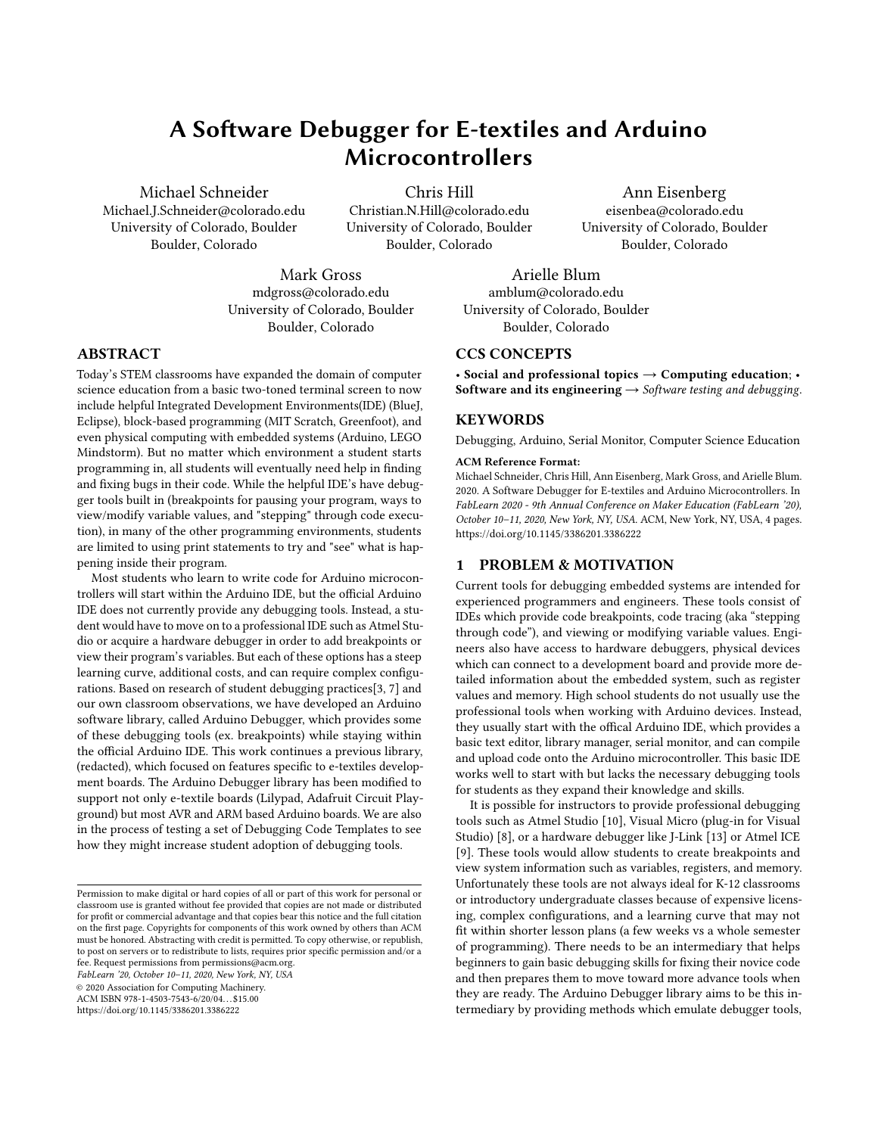# A Software Debugger for E-textiles and Arduino Microcontrollers

Michael Schneider Michael.J.Schneider@colorado.edu University of Colorado, Boulder Boulder, Colorado

Chris Hill Christian.N.Hill@colorado.edu University of Colorado, Boulder Boulder, Colorado

Mark Gross mdgross@colorado.edu University of Colorado, Boulder Boulder, Colorado

Arielle Blum amblum@colorado.edu University of Colorado, Boulder Boulder, Colorado

# CCS CONCEPTS

• Social and professional topics  $\rightarrow$  Computing education; Software and its engineering  $\rightarrow$  Software testing and debugging.

Ann Eisenberg eisenbea@colorado.edu University of Colorado, Boulder Boulder, Colorado

# **KEYWORDS**

Debugging, Arduino, Serial Monitor, Computer Science Education

#### ACM Reference Format:

Michael Schneider, Chris Hill, Ann Eisenberg, Mark Gross, and Arielle Blum. 2020. A Software Debugger for E-textiles and Arduino Microcontrollers. In FabLearn 2020 - 9th Annual Conference on Maker Education (FabLearn '20), October 10–11, 2020, New York, NY, USA. ACM, New York, NY, USA, [4](#page-3-2) pages. <https://doi.org/10.1145/3386201.3386222>

## 1 PROBLEM & MOTIVATION

Current tools for debugging embedded systems are intended for experienced programmers and engineers. These tools consist of IDEs which provide code breakpoints, code tracing (aka "stepping through code"), and viewing or modifying variable values. Engineers also have access to hardware debuggers, physical devices which can connect to a development board and provide more detailed information about the embedded system, such as register values and memory. High school students do not usually use the professional tools when working with Arduino devices. Instead, they usually start with the offical Arduino IDE, which provides a basic text editor, library manager, serial monitor, and can compile and upload code onto the Arduino microcontroller. This basic IDE works well to start with but lacks the necessary debugging tools for students as they expand their knowledge and skills.

It is possible for instructors to provide professional debugging tools such as Atmel Studio [\[10\]](#page-3-3), Visual Micro (plug-in for Visual Studio) [\[8\]](#page-3-4), or a hardware debugger like J-Link [\[13\]](#page-3-5) or Atmel ICE [\[9\]](#page-3-6). These tools would allow students to create breakpoints and view system information such as variables, registers, and memory. Unfortunately these tools are not always ideal for K-12 classrooms or introductory undergraduate classes because of expensive licensing, complex configurations, and a learning curve that may not fit within shorter lesson plans (a few weeks vs a whole semester of programming). There needs to be an intermediary that helps beginners to gain basic debugging skills for fixing their novice code and then prepares them to move toward more advance tools when they are ready. The Arduino Debugger library aims to be this intermediary by providing methods which emulate debugger tools,

# ABSTRACT

Today's STEM classrooms have expanded the domain of computer science education from a basic two-toned terminal screen to now include helpful Integrated Development Environments(IDE) (BlueJ, Eclipse), block-based programming (MIT Scratch, Greenfoot), and even physical computing with embedded systems (Arduino, LEGO Mindstorm). But no matter which environment a student starts programming in, all students will eventually need help in finding and fixing bugs in their code. While the helpful IDE's have debugger tools built in (breakpoints for pausing your program, ways to view/modify variable values, and "stepping" through code execution), in many of the other programming environments, students are limited to using print statements to try and "see" what is happening inside their program.

Most students who learn to write code for Arduino microcontrollers will start within the Arduino IDE, but the official Arduino IDE does not currently provide any debugging tools. Instead, a student would have to move on to a professional IDE such as Atmel Studio or acquire a hardware debugger in order to add breakpoints or view their program's variables. But each of these options has a steep learning curve, additional costs, and can require complex configurations. Based on research of student debugging practices[\[3,](#page-3-0) [7\]](#page-3-1) and our own classroom observations, we have developed an Arduino software library, called Arduino Debugger, which provides some of these debugging tools (ex. breakpoints) while staying within the official Arduino IDE. This work continues a previous library, (redacted), which focused on features specific to e-textiles development boards. The Arduino Debugger library has been modified to support not only e-textile boards (Lilypad, Adafruit Circuit Playground) but most AVR and ARM based Arduino boards. We are also in the process of testing a set of Debugging Code Templates to see how they might increase student adoption of debugging tools.

FabLearn '20, October 10–11, 2020, New York, NY, USA

© 2020 Association for Computing Machinery.

ACM ISBN 978-1-4503-7543-6/20/04. . . \$15.00

<https://doi.org/10.1145/3386201.3386222>

Permission to make digital or hard copies of all or part of this work for personal or classroom use is granted without fee provided that copies are not made or distributed for profit or commercial advantage and that copies bear this notice and the full citation on the first page. Copyrights for components of this work owned by others than ACM must be honored. Abstracting with credit is permitted. To copy otherwise, or republish, to post on servers or to redistribute to lists, requires prior specific permission and/or a fee. Request permissions from permissions@acm.org.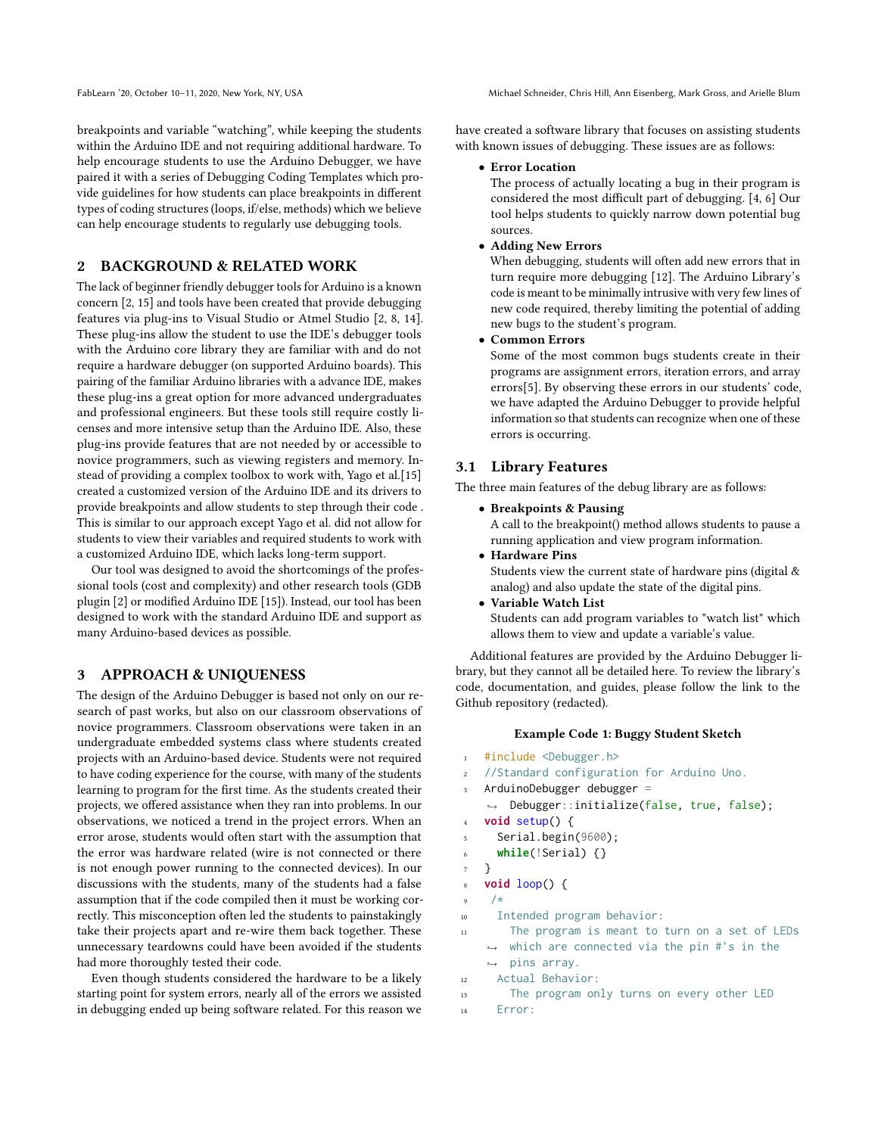breakpoints and variable "watching", while keeping the students within the Arduino IDE and not requiring additional hardware. To help encourage students to use the Arduino Debugger, we have paired it with a series of Debugging Coding Templates which provide guidelines for how students can place breakpoints in different types of coding structures (loops, if/else, methods) which we believe can help encourage students to regularly use debugging tools.

# 2 BACKGROUND & RELATED WORK

The lack of beginner friendly debugger tools for Arduino is a known concern [\[2,](#page-3-7) [15\]](#page-3-8) and tools have been created that provide debugging features via plug-ins to Visual Studio or Atmel Studio [\[2,](#page-3-7) [8,](#page-3-4) [14\]](#page-3-9). These plug-ins allow the student to use the IDE's debugger tools with the Arduino core library they are familiar with and do not require a hardware debugger (on supported Arduino boards). This pairing of the familiar Arduino libraries with a advance IDE, makes these plug-ins a great option for more advanced undergraduates and professional engineers. But these tools still require costly licenses and more intensive setup than the Arduino IDE. Also, these plug-ins provide features that are not needed by or accessible to novice programmers, such as viewing registers and memory. Instead of providing a complex toolbox to work with, Yago et al.[\[15\]](#page-3-8) created a customized version of the Arduino IDE and its drivers to provide breakpoints and allow students to step through their code . This is similar to our approach except Yago et al. did not allow for students to view their variables and required students to work with a customized Arduino IDE, which lacks long-term support.

Our tool was designed to avoid the shortcomings of the professional tools (cost and complexity) and other research tools (GDB plugin [\[2\]](#page-3-7) or modified Arduino IDE [\[15\]](#page-3-8)). Instead, our tool has been designed to work with the standard Arduino IDE and support as many Arduino-based devices as possible.

# 3 APPROACH & UNIQUENESS

The design of the Arduino Debugger is based not only on our research of past works, but also on our classroom observations of novice programmers. Classroom observations were taken in an undergraduate embedded systems class where students created projects with an Arduino-based device. Students were not required to have coding experience for the course, with many of the students learning to program for the first time. As the students created their projects, we offered assistance when they ran into problems. In our observations, we noticed a trend in the project errors. When an error arose, students would often start with the assumption that the error was hardware related (wire is not connected or there is not enough power running to the connected devices). In our discussions with the students, many of the students had a false assumption that if the code compiled then it must be working correctly. This misconception often led the students to painstakingly take their projects apart and re-wire them back together. These unnecessary teardowns could have been avoided if the students had more thoroughly tested their code.

Even though students considered the hardware to be a likely starting point for system errors, nearly all of the errors we assisted in debugging ended up being software related. For this reason we have created a software library that focuses on assisting students with known issues of debugging. These issues are as follows:

#### • Error Location

The process of actually locating a bug in their program is considered the most difficult part of debugging. [\[4,](#page-3-10) [6\]](#page-3-11) Our tool helps students to quickly narrow down potential bug sources.

#### • Adding New Errors

When debugging, students will often add new errors that in turn require more debugging [\[12\]](#page-3-12). The Arduino Library's code is meant to be minimally intrusive with very few lines of new code required, thereby limiting the potential of adding new bugs to the student's program.

• Common Errors

Some of the most common bugs students create in their programs are assignment errors, iteration errors, and array errors[\[5\]](#page-3-13). By observing these errors in our students' code, we have adapted the Arduino Debugger to provide helpful information so that students can recognize when one of these errors is occurring.

# 3.1 Library Features

The three main features of the debug library are as follows:

• Breakpoints & Pausing

A call to the breakpoint() method allows students to pause a running application and view program information.

- Hardware Pins Students view the current state of hardware pins (digital & analog) and also update the state of the digital pins.
- Variable Watch List Students can add program variables to "watch list" which allows them to view and update a variable's value.

Additional features are provided by the Arduino Debugger library, but they cannot all be detailed here. To review the library's code, documentation, and guides, please follow the link to the Github repository (redacted).

# Example Code 1: Buggy Student Sketch

```
1 #include <Debugger.h>
   //Standard configuration for Arduino Uno.
   ArduinoDebugger debugger =
   ,→ Debugger::initialize(false, true, false);
4 void setup() {
5 Serial.begin(9600);
6 while(!Serial) {}
7 }
   8 void loop() {
9 / *10 Intended program behavior:
```
<sup>11</sup> The program is meant to turn on a set of LEDs  $\hookrightarrow$  which are connected via the pin #'s in the

```
ightharpoonup pins array.
12 Actual Behavior:
```
- <sup>13</sup> The program only turns on every other LED
- <sup>14</sup> Error: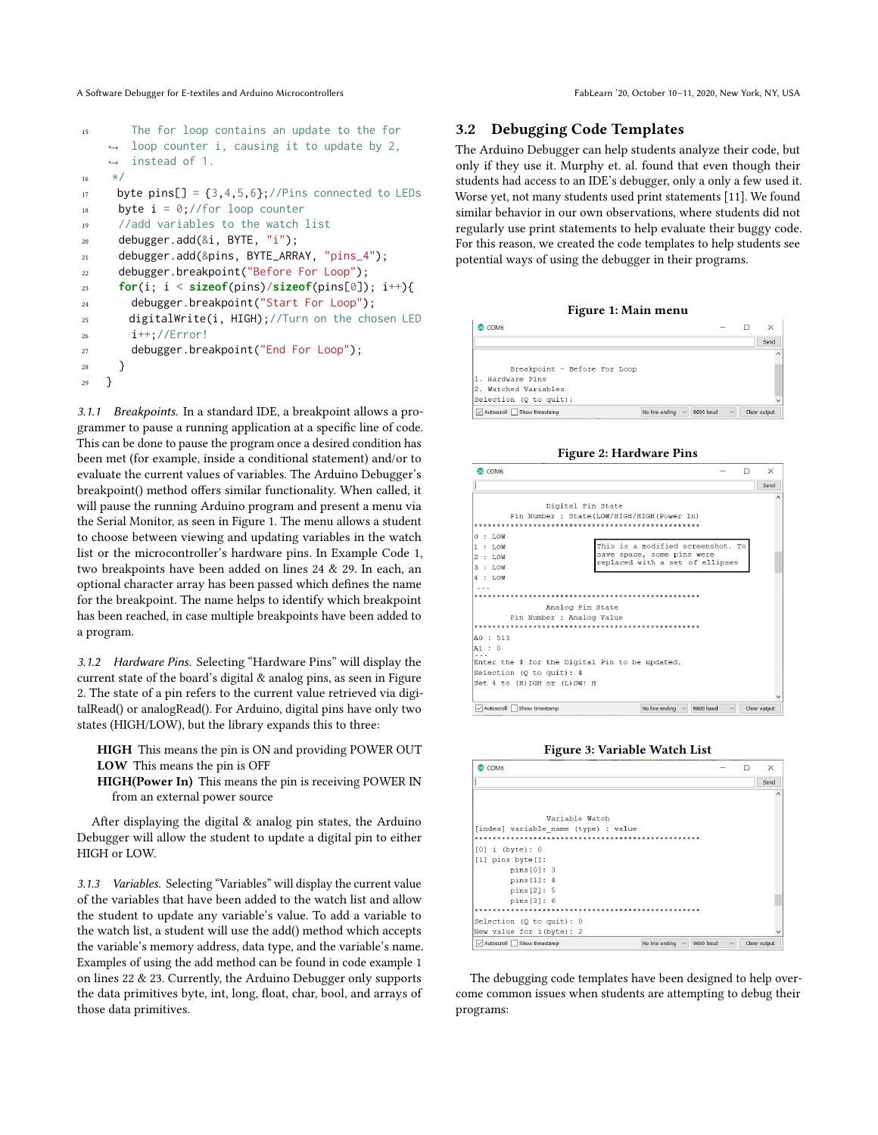A Software Debugger for E-textiles and Arduino Microcontrollers FabLearn '20, October 10–11, 2020, New York, NY, USA

```
15 The for loop contains an update to the for
       loop counter i, causing it to update by 2,
    \rightarrow instead of 1.
    \rightarrow16 \times /17 byte pins[] = {3,4,5,6};//Pins connected to LEDs
18 byte i = 0;//for loop counter
19 //add variables to the watch list
20 debugger.add(&i, BYTE, "i");
21 debugger.add(&pins, BYTE_ARRAY, "pins_4");
22 debugger.breakpoint("Before For Loop");
23 for(i; i < sizeof(pins)/sizeof(pins[0]); i++){
24 debugger.breakpoint("Start For Loop");
25 digitalWrite(i, HIGH);//Turn on the chosen LED
26 i++;//Error!
27 debugger.breakpoint("End For Loop");
28 }
29 }
```
3.1.1 Breakpoints. In a standard IDE, a breakpoint allows a programmer to pause a running application at a specific line of code. This can be done to pause the program once a desired condition has been met (for example, inside a conditional statement) and/or to evaluate the current values of variables. The Arduino Debugger's breakpoint() method offers similar functionality. When called, it will pause the running Arduino program and present a menu via the Serial Monitor, as seen in Figure [1.](#page-2-0) The menu allows a student to choose between viewing and updating variables in the watch list or the microcontroller's hardware pins. In Example Code [1,](#page-1-0) two breakpoints have been added on lines 24 & 29. In each, an optional character array has been passed which defines the name for the breakpoint. The name helps to identify which breakpoint has been reached, in case multiple breakpoints have been added to a program.

3.1.2 Hardware Pins. Selecting "Hardware Pins" will display the current state of the board's digital & analog pins, as seen in Figure [2.](#page-2-0) The state of a pin refers to the current value retrieved via digitalRead() or analogRead(). For Arduino, digital pins have only two states (HIGH/LOW), but the library expands this to three:

HIGH This means the pin is ON and providing POWER OUT LOW This means the pin is OFF

HIGH(Power In) This means the pin is receiving POWER IN from an external power source

After displaying the digital & analog pin states, the Arduino Debugger will allow the student to update a digital pin to either HIGH or LOW.

3.1.3 Variables. Selecting "Variables" will display the current value of the variables that have been added to the watch list and allow the student to update any variable's value. To add a variable to the watch list, a student will use the add() method which accepts the variable's memory address, data type, and the variable's name. Examples of using the add method can be found in code example [1](#page-1-0) on lines 22 & 23. Currently, the Arduino Debugger only supports the data primitives byte, int, long, float, char, bool, and arrays of those data primitives.

# 3.2 Debugging Code Templates

The Arduino Debugger can help students analyze their code, but only if they use it. Murphy et. al. found that even though their students had access to an IDE's debugger, only a only a few used it. Worse yet, not many students used print statements [\[11\]](#page-3-14). We found similar behavior in our own observations, where students did not regularly use print statements to help evaluate their buggy code. For this reason, we created the code templates to help students see potential ways of using the debugger in their programs.

#### Figure 1: Main menu

<span id="page-2-0"></span>

| COM6                                                  |                           | ×            |
|-------------------------------------------------------|---------------------------|--------------|
|                                                       |                           | Send         |
|                                                       |                           |              |
| Breakpoint - Before For Loop                          |                           |              |
| 1. Hardware Pins                                      |                           |              |
| 2. Watched Variables                                  |                           |              |
| Selection (Q to quit):                                |                           |              |
| Autoscroll Show timestamp<br>No line ending<br>$\vee$ | 9600 baud<br>$\checkmark$ | Clear output |

Figure 2: Hardware Pins

| <b>@COM6</b>                                                                               |  | $\times$            |
|--------------------------------------------------------------------------------------------|--|---------------------|
|                                                                                            |  | Send                |
|                                                                                            |  |                     |
| Digital Pin State<br>Pin Number : State(LOW/HIGH/HIGH(Power In)                            |  |                     |
|                                                                                            |  |                     |
|                                                                                            |  |                     |
| : LOW<br>o                                                                                 |  |                     |
| This is a modified screenshot. To<br>$:$ LOW<br>1                                          |  |                     |
| save space, some pins were<br>$\overline{2}$<br>$:$ LOW<br>replaced with a set of ellipses |  |                     |
| 3<br>$\pm$ LOW                                                                             |  |                     |
| 4<br>$\therefore$ LOW                                                                      |  |                     |
|                                                                                            |  |                     |
|                                                                                            |  |                     |
| Analog Pin State                                                                           |  |                     |
| Pin Number : Analog Value                                                                  |  |                     |
|                                                                                            |  |                     |
| A0 : 513                                                                                   |  |                     |
| A1 : 0                                                                                     |  |                     |
|                                                                                            |  |                     |
| Enter the # for the Digital Pin to be updated.                                             |  |                     |
| Selection (Q to quit): 4                                                                   |  |                     |
| Set 4 to (H) IGH or (L) OW: H                                                              |  |                     |
|                                                                                            |  |                     |
| Autoccoll Chou timortamn<br>No line anding the 0600 hand                                   |  | <b>Close output</b> |

Figure 3: Variable Watch List

 $\Box$  $\times$ 

 $\sqrt{2}$ 

|                                                                    | Send         |
|--------------------------------------------------------------------|--------------|
|                                                                    | $\wedge$     |
| Variable Watch                                                     |              |
| [index] variable name (type) : value                               |              |
|                                                                    |              |
| $[0]$ i (byte): 0                                                  |              |
| $[1]$ pins byte $[1]$ :                                            |              |
| pins[0]:3                                                          |              |
| pins[1]: 4                                                         |              |
| pins[2]: 5                                                         |              |
| pins[3]: 6                                                         |              |
|                                                                    |              |
| Selection ( $Q$ to quit): $0$                                      |              |
| New value for i(byte): 2                                           |              |
| Autoscroll Show timestamp<br>9600 baud<br>No line ending<br>$\sim$ | Clear output |

The debugging code templates have been designed to help overcome common issues when students are attempting to debug their programs: